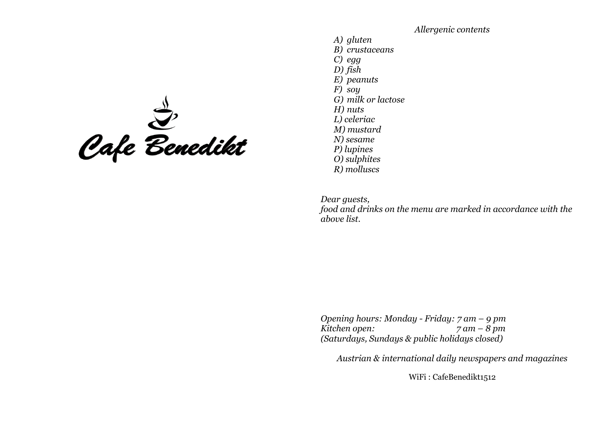Cafe Benedikt

*Allergenic contents A) gluten B) crustaceans C) egg D) fish E) peanuts F) soy G) milk or lactose H) nuts L) celeriac M) mustard N) sesame P) lupines O) sulphites R) molluscs*

*Dear guests, food and drinks on the menu are marked in accordance with the above list.*

*Opening hours: Monday - Friday: 7 am – 9 pm Kitchen open: 7 am – 8 pm (Saturdays, Sundays & public holidays closed)*

*Austrian & international daily newspapers and magazines*

WiFi : CafeBenedikt1512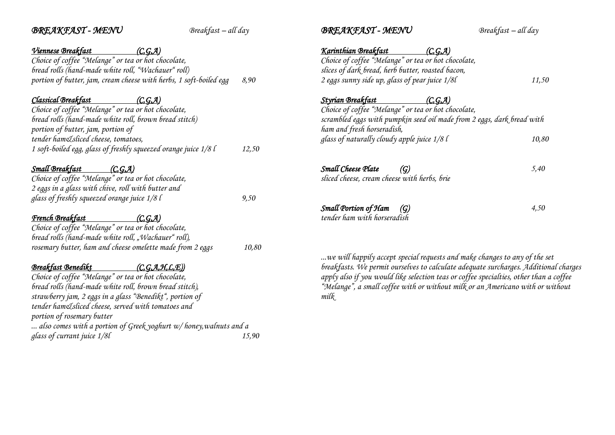| <b>BREAKFAST-MENU</b>                                                | $B$ reakfast – all day | <b>BREAKFAST - MENU</b>                                                                | Breakfast - all day                                                                  |
|----------------------------------------------------------------------|------------------------|----------------------------------------------------------------------------------------|--------------------------------------------------------------------------------------|
| Viennese Breakfast<br>(C, G, A)                                      |                        | Karinthian Breakfast<br>(C, G, A)                                                      |                                                                                      |
| Choice of coffee "Melange" or tea or hot chocolate,                  |                        | Choice of coffee "Melange" or tea or hot chocolate,                                    |                                                                                      |
| bread rolls (hand-made white roll, "Wachauer" roll)                  |                        | slices of dark bread, herb butter, roasted bacon,                                      |                                                                                      |
| portion of butter, jam, cream cheese with herbs, 1 soft-boiled egg   | 8,90                   | 2 eggs sunny side up, glass of pear juice 1/8l                                         | 11,50                                                                                |
| Classical Breakfast<br>(C, G, A)                                     |                        | Styrian Breakfast<br>(C, G, A)                                                         |                                                                                      |
| Choice of coffee "Melange" or tea or hot chocolate,                  |                        | Choice of coffee "Melange" or tea or hot chocolate,                                    |                                                                                      |
| bread rolls (hand-made white roll, brown bread stitch)               |                        | scrambled eggs with pumpkin seed oil made from 2 eggs, dark bread with                 |                                                                                      |
| portion of butter, jam, portion of                                   |                        | ham and fresh horseradish,                                                             |                                                                                      |
| tender ham&sliced cheese, tomatoes,                                  |                        | glass of naturally cloudy apple juice 1/8 l                                            | 10,80                                                                                |
| 1 soft-boiled egg, glass of freshly squeezed orange juice 1/8 l      | 12,50                  |                                                                                        |                                                                                      |
| <b>Small Breakfast</b><br>(C, G, A)                                  |                        | Small Cheese Plate<br>$\left( \mathcal{G} \right)$                                     | 5,40                                                                                 |
| Choice of coffee "Melange" or tea or hot chocolate,                  |                        | sliced cheese, cream cheese with herbs, brie                                           |                                                                                      |
| 2 eggs in a glass with chive, roll with butter and                   |                        |                                                                                        |                                                                                      |
| glass of freshly squeezed orange juice $1/8$ l                       | 9,50                   |                                                                                        |                                                                                      |
|                                                                      |                        | Small Portion of Ham<br>$\left( G\right)$                                              | 4,50                                                                                 |
| <b>French Breakfast</b><br>(C, G, A)                                 |                        | tender ham with horseradish                                                            |                                                                                      |
| Choice of coffee "Melange" or tea or hot chocolate,                  |                        |                                                                                        |                                                                                      |
| bread rolls (hand-made white roll, "Wachauer" roll),                 |                        |                                                                                        |                                                                                      |
| rosemary butter, ham and cheese omelette made from 2 eggs            | 10,80                  |                                                                                        |                                                                                      |
|                                                                      |                        | we will happily accept special requests and make changes to any of the set             |                                                                                      |
| <b>Breakfast Benedikt</b>                                            | (C, G, A, H, L, E)     |                                                                                        | breakfasts. We permit ourselves to calculate adequate surcharges. Additional charges |
| Choice of coffee "Melange" or tea or hot chocolate,                  |                        | apply also if you would like selection teas or coffee specialties, other than a coffee |                                                                                      |
| bread rolls (hand-made white roll, brown bread stitch),              |                        | "Melange", a small coffee with or without milk or an Americano with or without         |                                                                                      |
| strawberry jam, 2 eggs in a glass "Benedikt", portion of             |                        | mik                                                                                    |                                                                                      |
| tender ham&sliced cheese, served with tomatoes and                   |                        |                                                                                        |                                                                                      |
| portion of rosemary butter                                           |                        |                                                                                        |                                                                                      |
| also comes with a portion of Greek yoghurt $w/$ honey, walnuts and a |                        |                                                                                        |                                                                                      |
| glass of currant juice 1/8l                                          | 15,90                  |                                                                                        |                                                                                      |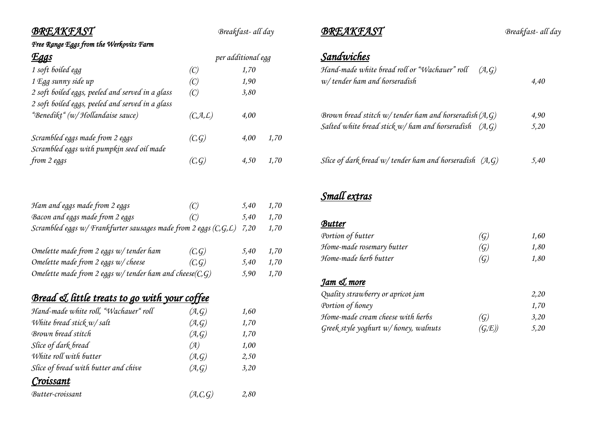*Free Range Eggs from the Werkovits Farm* 

| <u>Eggs</u>                                      |           | per additional egg |      |  |
|--------------------------------------------------|-----------|--------------------|------|--|
| 1 soft boiled egg                                | (C)       | 1,70               |      |  |
| 1 Egg sunny side up                              | (C)       | 1,90               |      |  |
| 2 soft boiled eggs, peeled and served in a glass | (C)       | 3,80               |      |  |
| 2 soft boiled eggs, peeled and served in a glass |           |                    |      |  |
| "Benedikt" (w/ Hollandaise sauce)                | (C, A, L) | 4,00               |      |  |
| Scrambled eggs made from 2 eggs                  | (C, G)    | 4.00               | 1,70 |  |
| Scrambled eggs with pumpkin seed oil made        |           |                    |      |  |
| from 2 eggs                                      | (C, G)    | 4,50               | 1,70 |  |

| Ham and eggs made from 2 eggs                                               | (C) | 5.40      | 1,70 |
|-----------------------------------------------------------------------------|-----|-----------|------|
| Bacon and eggs made from 2 eggs                                             | (C) | 5,40 1,70 |      |
| Scrambled eggs $w$ / Frankfurter sausages made from 2 eggs $(C, G, L)$ 7,20 |     |           | 1,70 |

| Omelette made from 2 eggs w/tender ham                         | (C, G) | 5.40 | 1,70  |
|----------------------------------------------------------------|--------|------|-------|
| Omelette made from 2 eggs $w$ cheese                           | (C, G) | 5.40 | -1,70 |
| Omelette made from 2 eggs $w$ / tender ham and cheese $(C, G)$ |        | 5.90 | 1,70  |

# *Bread & little treats to go with your coffee*

| (A,G)   | 1,60 |
|---------|------|
| (A, G)  | 1,70 |
| (A, G)  | 1,70 |
| (A)     | 1,00 |
| (A, G)  | 2,50 |
| (A, G)  | 3,20 |
|         |      |
| (A,C,G) | 2,80 |
|         |      |

*BREAKFAST Breakfast- all day*

# *Sandwiches*

| Hand-made white bread roll or "Wachauer" roll<br>(A,G)<br>$w$ tender ham and horseradish                                |              |
|-------------------------------------------------------------------------------------------------------------------------|--------------|
| Brown bread stitch w/ tender ham and horseradish $(A, G)$<br>Salted white bread stick $w/$ ham and horseradish $(A, G)$ | 4,90<br>5,20 |
| Slice of dark bread $w$ tender ham and horseradish $(A, G)$                                                             | 5,40         |

# *Small extras*

#### *Butter*

| Portion of butter         | (G)               | 1.60 |
|---------------------------|-------------------|------|
| Home-made rosemary butter | $\left( G\right)$ | 1,80 |
| Home-made herb butter     | $\left( G\right)$ | 1.80 |

#### *Jam & more*

| Quality strawberry or apricot jam       |                   | 2.20 |
|-----------------------------------------|-------------------|------|
| Portion of honey                        |                   | 1.70 |
| Home-made cream cheese with herbs       | $\left( G\right)$ | 3.20 |
| Greek style yoghurt $w$ /honey, walnuts | (G,E)             | 5.20 |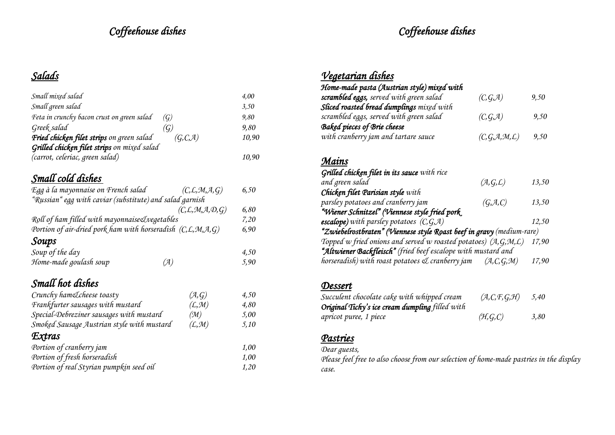# *Coffeehouse dishes*

# *Coffeehouse dishes*

# *Salads*

| Small mixed salad                                                                              | 4,00  |
|------------------------------------------------------------------------------------------------|-------|
| Small green salad                                                                              | 3,50  |
| Feta in crunchy bacon crust on green salad<br>$\left( \mathcal{G} \right)$                     | 9,80  |
| Greek salad<br>$\left( \mathcal{G} \right)$                                                    | 9,80  |
| Fried chicken filet strips on green salad<br>(G, C, A)                                         | 10,90 |
| Grilled chicken filet strips on mixed salad                                                    |       |
| (carrot, celeriac, green salad)                                                                | 10,90 |
| Small cold dishes                                                                              |       |
| Egg à la mayonnaise on French salad<br>$(C, \mathcal{L}, \mathcal{M}, \mathcal{A}, G)$         | 6,50  |
| "Russian" egg with caviar (substitute) and salad garnish                                       |       |
| $(C, \mathcal{L}, \mathcal{M}, \mathcal{A}, \mathcal{D}, G)$                                   | 6,80  |
| Roll of ham filled with mayonnaise Lvegetables                                                 | 7,20  |
| Portion of air-dried pork ham with horseradish $(C, \mathcal{L}, \mathcal{M}, \mathcal{A}, G)$ | 6,90  |
| Soups                                                                                          |       |
| Soup of the day                                                                                | 4,50  |
| Home-made goulash soup<br>(A)                                                                  | 5,90  |
| Small hot dishes                                                                               |       |
| Crunchy ham&cheese toasty<br>(A, G)                                                            | 4,50  |
| Frankfurter sausages with mustard<br>(L, M)                                                    | 4,80  |
| Special-Debreziner sausages with mustard<br>$(\mathfrak{M})$                                   | 5,00  |
| Smoked Sausage Austrian style with mustard<br>(L, M)                                           | 5,10  |
| Extras                                                                                         |       |
| Portion of cranberry jam                                                                       | 1,00  |
| Portion of fresh horseradish                                                                   | 1,00  |
| Portion of real Styrian pumpkin seed oil                                                       | 1,20  |

# *Vegetarian dishes*

| Home-made pasta (Austrian style) mixed with |                 |      |
|---------------------------------------------|-----------------|------|
| scrambled eggs, served with green salad     | (C, G, A)       | 9,50 |
| Sliced roasted bread dumplings mixed with   |                 |      |
| scrambled eggs, served with green salad     | (C, G, A)       | 9,50 |
| <b>Baked pieces of Brie cheese</b>          |                 |      |
| with cranberry jam and tartare sauce        | (C, G, A, M, L) | 9,50 |

#### *Mains*

| Grilled chicken filet in its sauce with rice                          |              |       |
|-----------------------------------------------------------------------|--------------|-------|
| and green salad                                                       | (A, G, L)    | 13,50 |
| Chicken filet Parisian style with                                     |              |       |
| parsley potatoes and cranberry jam                                    | (G, A, C)    | 13,50 |
| "Wiener Schnitzel" (Viennese style fried pork                         |              |       |
| <b>escalope)</b> with parsley potatoes $(C, G, A)$                    |              | 12,50 |
| "Zwiebelrostbraten" (Viennese style Roast beef in gravy (medium-rare) |              |       |
| Topped w fried onions and served w roasted potatoes) $(A, G, M, L)$   |              | 17,90 |
| "Altwiener Backfleisch" (fried beef escalope with mustard and         |              |       |
| horseradish) with roast potatoes & cranberry jam                      | (A, C, G, M) | 17,90 |

#### *Dessert*

| Succulent chocolate cake with whipped cream     | (A,C,F,G,H) | 5,40 |
|-------------------------------------------------|-------------|------|
| Original Tichy's ice cream dumpling filled with |             |      |
| apricot puree, 1 piece                          | (H, G, C)   | 3.80 |

#### *Pastries*

*Dear guests,*

*Please feel free to also choose from our selection of home-made pastries in the display case.*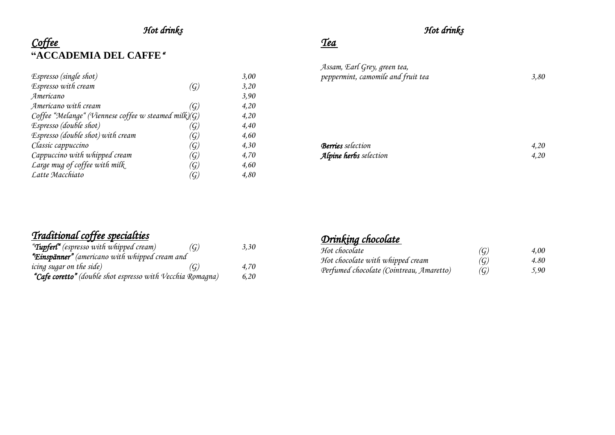# *Hot drinks*

# *Coffee*  **"ACCADEMIA DEL CAFFE***"*

| Espresso (single shot)                               |                        | 3,00 |
|------------------------------------------------------|------------------------|------|
| Espresso with cream                                  | $\left( G\right)$      | 3,20 |
| Americano                                            |                        | 3,90 |
| Americano with cream                                 | $\left(  G\right)$     | 4,20 |
| Coffee "Melange" (Viennese coffee w steamed milk)(G) |                        | 4,20 |
| Espresso (double shot)                               | $\left(  G\right)$     | 4,40 |
| Espresso (double shot) with cream                    | $\left( \c{G} \right)$ | 4,60 |
| Classic cappuccino                                   | $\left(  G\right)$     | 4,30 |
| Cappuccino with whipped cream                        | (G)                    | 4,70 |
| Large mug of coffee with milk                        | $(\c{G})$              | 4,60 |
| Latte Macchiato                                      | G.                     | 4,80 |

### *Hot drinks*

*Tea* 

| Assam, Earl Grey, green tea,       |      |
|------------------------------------|------|
| peppermint, camomile and fruit tea | 3.80 |
|                                    |      |
|                                    |      |

| <b>Berries</b> selection | 4.20 |
|--------------------------|------|
| Alpine herbs selection   | 4.20 |

#### *Traditional coffee specialties*

| " <b>Tupfert"</b> (espresso with whipped cream)            | (G) | 3,30 |
|------------------------------------------------------------|-----|------|
| "Einspänner" (americano with whipped cream and             |     |      |
| icing sugar on the side)                                   | (G) | 4.70 |
| "Cafe coretto" (double shot espresso with Vecchia Romagna) |     | 6.20 |

#### *Drinking chocolate*

| Hot chocolate                            | $\left( G\right)$ | 4.00 |
|------------------------------------------|-------------------|------|
| Hot chocolate with whipped cream         | $\left( G\right)$ | 4.80 |
| Perfumed chocolate (Cointreau, Amaretto) | $\left( G\right)$ | 5.90 |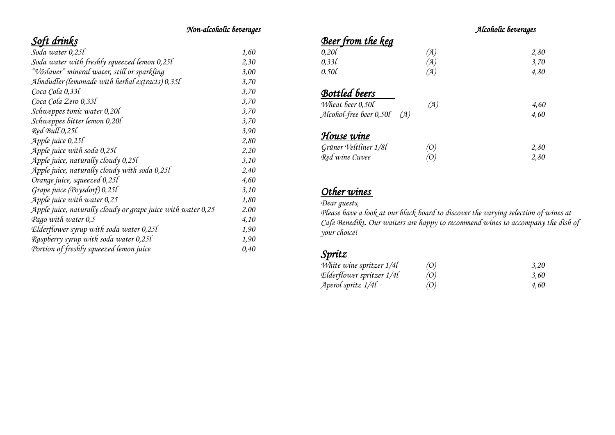#### *Non-alcoholic beverages*

# *Soft drinks*

| Soda water 0,25l                                             | 1,60 |
|--------------------------------------------------------------|------|
| Soda water with freshly squeezed lemon 0,25l                 | 2,30 |
| "Vöslauer" mineral water, still or sparkling                 | 3,00 |
| Almdudler (lemonade with herbal extracts) 0,35l              | 3,70 |
| Coca Cola 0,33l                                              | 3,70 |
| Coca Cola Zero 0,33l                                         | 3,70 |
| Schweppes tonic water 0,20l                                  | 3,70 |
| Schweppes bitter lemon 0,20l                                 | 3,70 |
| Red Bull 0,25l                                               | 3,90 |
| Apple juice 0,25l                                            | 2,80 |
| Apple juice with soda $0,250$                                | 2,20 |
| Apple juice, naturally cloudy 0,25l                          | 3,10 |
| Apple juice, naturally cloudy with soda 0,25l                | 2,40 |
| Orange juice, squeezed 0,25l                                 | 4,60 |
| Grape juice (Poysdorf) 0,25l                                 | 3,10 |
| Apple juice with water $0.25$                                | 1,80 |
| Apple juice, naturally cloudy or grape juice with water 0,25 | 2.00 |
| Pago with water 0,5                                          | 4,10 |
| Elderflower syrup with soda water 0,25l                      | 1,90 |
| Raspberry syrup with soda water 0,25l                        | 1,90 |
| Portion of freshly squeezed lemon juice                      | 0,40 |

#### *Alcoholic beverages*

# *Beer from the keg*

| 0,20                           | (A) | 2,80 |
|--------------------------------|-----|------|
| 0,331                          | (A) | 3,70 |
| 0.50                           | (A) | 4,80 |
| <b>Bottled</b> beers           |     |      |
| Wheat beer 0,50l               | (A) | 4,60 |
| Alcohol-free beer 0,50l<br>(A) |     | 4,60 |
| House wine                     |     |      |
| Grüner Veltliner 1/8l          | (O) | 2,80 |
| Red wine Cuvee                 | (O) | 2,80 |

#### *Other wines*

*Dear guests,* 

*Please have a look at our black board to discover the varying selection of wines at Cafe Benedikt. Our waiters are happy to recommend wines to accompany the dish of your choice!* 

#### *Spritz*

| White wine spritzer 1/4l  | $\left( 0\right)$   | 3,20 |
|---------------------------|---------------------|------|
| Elderflower spritzer 1/4l | $\langle 0 \rangle$ | 3.60 |
| Aperol spritz 1/4l        | (O)                 | 4.60 |